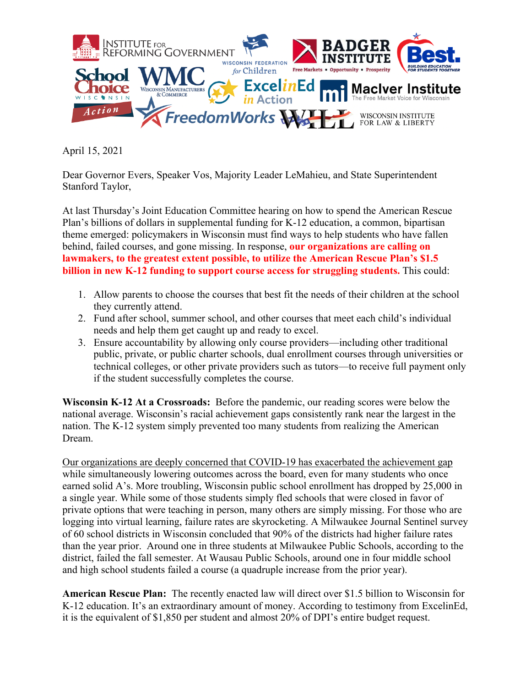

April 15, 2021

Dear Governor Evers, Speaker Vos, Majority Leader LeMahieu, and State Superintendent Stanford Taylor,

At last Thursday's Joint Education Committee hearing on how to spend the American Rescue Plan's billions of dollars in supplemental funding for K-12 education, a common, bipartisan theme emerged: policymakers in Wisconsin must find ways to help students who have fallen behind, failed courses, and gone missing. In response, **our organizations are calling on lawmakers, to the greatest extent possible, to utilize the American Rescue Plan's \$1.5 billion in new K-12 funding to support course access for struggling students.** This could:

- 1. Allow parents to choose the courses that best fit the needs of their children at the school they currently attend.
- 2. Fund after school, summer school, and other courses that meet each child's individual needs and help them get caught up and ready to excel.
- 3. Ensure accountability by allowing only course providers—including other traditional public, private, or public charter schools, dual enrollment courses through universities or technical colleges, or other private providers such as tutors—to receive full payment only if the student successfully completes the course.

**Wisconsin K-12 At a Crossroads:** Before the pandemic, our reading scores were below the national average. Wisconsin's racial achievement gaps consistently rank near the largest in the nation. The K-12 system simply prevented too many students from realizing the American Dream.

Our organizations are deeply concerned that COVID-19 has exacerbated the achievement gap while simultaneously lowering outcomes across the board, even for many students who once earned solid A's. More troubling, Wisconsin public school enrollment has dropped by 25,000 in a single year. While some of those students simply fled schools that were closed in favor of private options that were teaching in person, many others are simply missing. For those who are logging into virtual learning, failure rates are skyrocketing. A Milwaukee Journal Sentinel survey of 60 school districts in Wisconsin concluded that 90% of the districts had higher failure rates than the year prior. Around one in three students at Milwaukee Public Schools, according to the district, failed the fall semester. At Wausau Public Schools, around one in four middle school and high school students failed a course (a quadruple increase from the prior year).

**American Rescue Plan:** The recently enacted law will direct over \$1.5 billion to Wisconsin for K-12 education. It's an extraordinary amount of money. According to testimony from ExcelinEd, it is the equivalent of \$1,850 per student and almost 20% of DPI's entire budget request.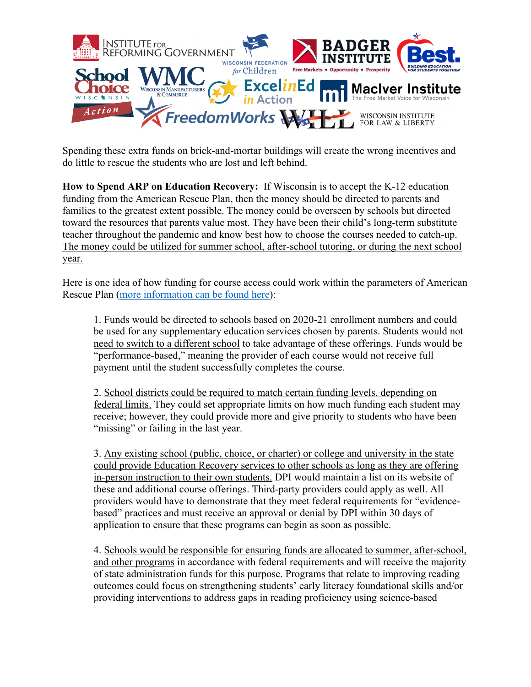

Spending these extra funds on brick-and-mortar buildings will create the wrong incentives and do little to rescue the students who are lost and left behind.

**How to Spend ARP on Education Recovery:** If Wisconsin is to accept the K-12 education funding from the American Rescue Plan, then the money should be directed to parents and families to the greatest extent possible. The money could be overseen by schools but directed toward the resources that parents value most. They have been their child's long-term substitute teacher throughout the pandemic and know best how to choose the courses needed to catch-up. The money could be utilized for summer school, after-school tutoring, or during the next school year.

Here is one idea of how funding for course access could work within the parameters of American Rescue Plan (more information can be found here):

1. Funds would be directed to schools based on 2020-21 enrollment numbers and could be used for any supplementary education services chosen by parents. Students would not need to switch to a different school to take advantage of these offerings. Funds would be "performance-based," meaning the provider of each course would not receive full payment until the student successfully completes the course.

2. School districts could be required to match certain funding levels, depending on federal limits. They could set appropriate limits on how much funding each student may receive; however, they could provide more and give priority to students who have been "missing" or failing in the last year.

3. Any existing school (public, choice, or charter) or college and university in the state could provide Education Recovery services to other schools as long as they are offering in-person instruction to their own students. DPI would maintain a list on its website of these and additional course offerings. Third-party providers could apply as well. All providers would have to demonstrate that they meet federal requirements for "evidencebased" practices and must receive an approval or denial by DPI within 30 days of application to ensure that these programs can begin as soon as possible.

4. Schools would be responsible for ensuring funds are allocated to summer, after-school, and other programs in accordance with federal requirements and will receive the majority of state administration funds for this purpose. Programs that relate to improving reading outcomes could focus on strengthening students' early literacy foundational skills and/or providing interventions to address gaps in reading proficiency using science-based